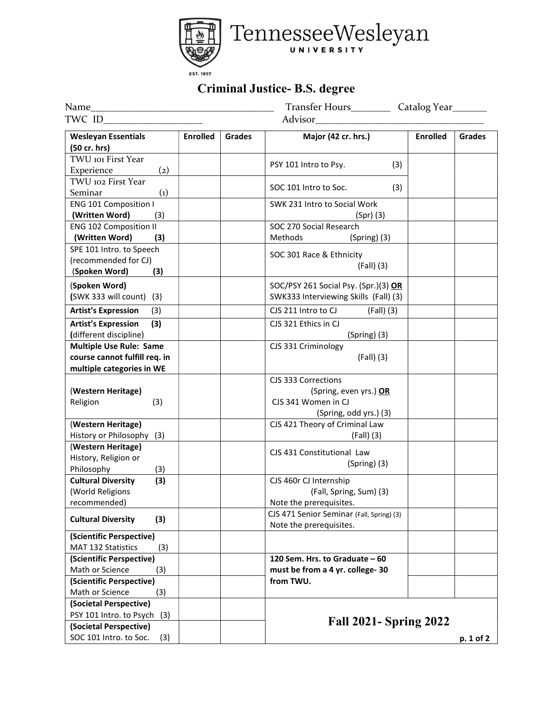

## Criminal Justice- B.S. degree

|                                                                                                                                |                 | Transfer Hours______________ Catalog Year_________ |                                                                      |                 |               |
|--------------------------------------------------------------------------------------------------------------------------------|-----------------|----------------------------------------------------|----------------------------------------------------------------------|-----------------|---------------|
| TWC ID<br><u> 1980 - Jan Samuel Barbara, politik eta provincia eta provincia eta provincia eta provincia eta provincia eta</u> |                 |                                                    |                                                                      |                 |               |
| <b>Wesleyan Essentials</b><br>(50 cr. hrs)                                                                                     | <b>Enrolled</b> | Grades                                             | Major (42 cr. hrs.)                                                  | <b>Enrolled</b> | <b>Grades</b> |
| TWU 101 First Year                                                                                                             |                 |                                                    |                                                                      |                 |               |
| Experience<br>$\left( 2\right)$                                                                                                |                 |                                                    | PSY 101 Intro to Psy.<br>(3)                                         |                 |               |
| TWU 102 First Year                                                                                                             |                 |                                                    |                                                                      |                 |               |
| Seminar<br>$\left( 1\right)$                                                                                                   |                 |                                                    | SOC 101 Intro to Soc.<br>(3)                                         |                 |               |
| <b>ENG 101 Composition I</b>                                                                                                   |                 |                                                    | SWK 231 Intro to Social Work                                         |                 |               |
| (Written Word)<br>(3)                                                                                                          |                 |                                                    | $(Spr)$ (3)                                                          |                 |               |
| <b>ENG 102 Composition II</b>                                                                                                  |                 |                                                    | SOC 270 Social Research                                              |                 |               |
| (Written Word)<br>(3)                                                                                                          |                 |                                                    | Methods<br>$(Spring)$ (3)                                            |                 |               |
| SPE 101 Intro. to Speech                                                                                                       |                 |                                                    | SOC 301 Race & Ethnicity                                             |                 |               |
| (recommended for CJ)                                                                                                           |                 |                                                    | $(Fall)$ (3)                                                         |                 |               |
| (Spoken Word)<br>(3)                                                                                                           |                 |                                                    |                                                                      |                 |               |
| (Spoken Word)                                                                                                                  |                 |                                                    | SOC/PSY 261 Social Psy. (Spr.)(3) OR                                 |                 |               |
| (SWK 333 will count) (3)                                                                                                       |                 |                                                    | SWK333 Interviewing Skills (Fall) (3)                                |                 |               |
| <b>Artist's Expression</b><br>(3)                                                                                              |                 |                                                    | CJS 211 Intro to CJ<br>$(Fall)$ (3)                                  |                 |               |
| <b>Artist's Expression</b><br>(3)                                                                                              |                 |                                                    | CJS 321 Ethics in CJ                                                 |                 |               |
| (different discipline)                                                                                                         |                 |                                                    | $(Spring)$ (3)                                                       |                 |               |
| <b>Multiple Use Rule: Same</b>                                                                                                 |                 |                                                    | CJS 331 Criminology                                                  |                 |               |
| course cannot fulfill req. in                                                                                                  |                 |                                                    | $(Fall)$ (3)                                                         |                 |               |
| multiple categories in WE                                                                                                      |                 |                                                    |                                                                      |                 |               |
|                                                                                                                                |                 |                                                    | CJS 333 Corrections                                                  |                 |               |
| (Western Heritage)                                                                                                             |                 |                                                    | (Spring, even yrs.) OR                                               |                 |               |
| Religion<br>(3)                                                                                                                |                 |                                                    | CJS 341 Women in CJ                                                  |                 |               |
|                                                                                                                                |                 |                                                    | (Spring, odd yrs.) (3)                                               |                 |               |
| (Western Heritage)                                                                                                             |                 |                                                    | CJS 421 Theory of Criminal Law                                       |                 |               |
| History or Philosophy (3)                                                                                                      |                 |                                                    | $(Fall)$ (3)                                                         |                 |               |
| (Western Heritage)                                                                                                             |                 |                                                    | CJS 431 Constitutional Law                                           |                 |               |
| History, Religion or                                                                                                           |                 |                                                    | $(Spring)$ (3)                                                       |                 |               |
| Philosophy<br>(3)                                                                                                              |                 |                                                    |                                                                      |                 |               |
| (3)<br><b>Cultural Diversity</b>                                                                                               |                 |                                                    | CJS 460r CJ Internship                                               |                 |               |
| (World Religions                                                                                                               |                 |                                                    | (Fall, Spring, Sum) (3)                                              |                 |               |
| recommended)                                                                                                                   |                 |                                                    | Note the prerequisites.                                              |                 |               |
| <b>Cultural Diversity</b><br>(3)                                                                                               |                 |                                                    | CJS 471 Senior Seminar (Fall, Spring) (3)<br>Note the prerequisites. |                 |               |
| (Scientific Perspective)                                                                                                       |                 |                                                    |                                                                      |                 |               |
| MAT 132 Statistics<br>(3)                                                                                                      |                 |                                                    |                                                                      |                 |               |
| (Scientific Perspective)                                                                                                       |                 |                                                    | 120 Sem. Hrs. to Graduate - 60                                       |                 |               |
| Math or Science<br>(3)                                                                                                         |                 |                                                    | must be from a 4 yr. college- 30                                     |                 |               |
| (Scientific Perspective)                                                                                                       |                 |                                                    | from TWU.                                                            |                 |               |
| Math or Science<br>(3)                                                                                                         |                 |                                                    |                                                                      |                 |               |
| (Societal Perspective)                                                                                                         |                 |                                                    |                                                                      |                 |               |
| PSY 101 Intro. to Psych (3)                                                                                                    |                 |                                                    | <b>Fall 2021- Spring 2022</b>                                        |                 |               |
| (Societal Perspective)                                                                                                         |                 |                                                    |                                                                      |                 |               |
| SOC 101 Intro. to Soc.<br>(3)                                                                                                  |                 |                                                    |                                                                      |                 | p. 1 of 2     |